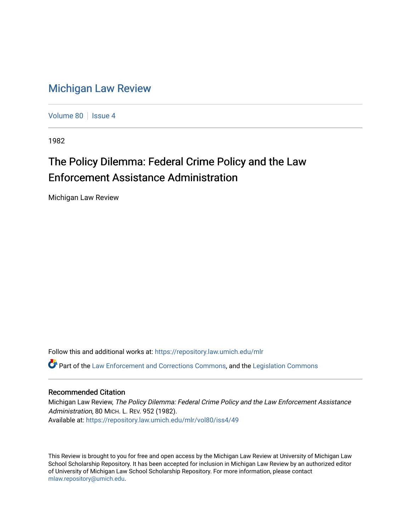## [Michigan Law Review](https://repository.law.umich.edu/mlr)

[Volume 80](https://repository.law.umich.edu/mlr/vol80) | [Issue 4](https://repository.law.umich.edu/mlr/vol80/iss4)

1982

## The Policy Dilemma: Federal Crime Policy and the Law Enforcement Assistance Administration

Michigan Law Review

Follow this and additional works at: [https://repository.law.umich.edu/mlr](https://repository.law.umich.edu/mlr?utm_source=repository.law.umich.edu%2Fmlr%2Fvol80%2Fiss4%2F49&utm_medium=PDF&utm_campaign=PDFCoverPages) 

Part of the [Law Enforcement and Corrections Commons,](http://network.bepress.com/hgg/discipline/854?utm_source=repository.law.umich.edu%2Fmlr%2Fvol80%2Fiss4%2F49&utm_medium=PDF&utm_campaign=PDFCoverPages) and the [Legislation Commons](http://network.bepress.com/hgg/discipline/859?utm_source=repository.law.umich.edu%2Fmlr%2Fvol80%2Fiss4%2F49&utm_medium=PDF&utm_campaign=PDFCoverPages) 

## Recommended Citation

Michigan Law Review, The Policy Dilemma: Federal Crime Policy and the Law Enforcement Assistance Administration, 80 MICH. L. REV. 952 (1982). Available at: [https://repository.law.umich.edu/mlr/vol80/iss4/49](https://repository.law.umich.edu/mlr/vol80/iss4/49?utm_source=repository.law.umich.edu%2Fmlr%2Fvol80%2Fiss4%2F49&utm_medium=PDF&utm_campaign=PDFCoverPages) 

This Review is brought to you for free and open access by the Michigan Law Review at University of Michigan Law School Scholarship Repository. It has been accepted for inclusion in Michigan Law Review by an authorized editor of University of Michigan Law School Scholarship Repository. For more information, please contact [mlaw.repository@umich.edu.](mailto:mlaw.repository@umich.edu)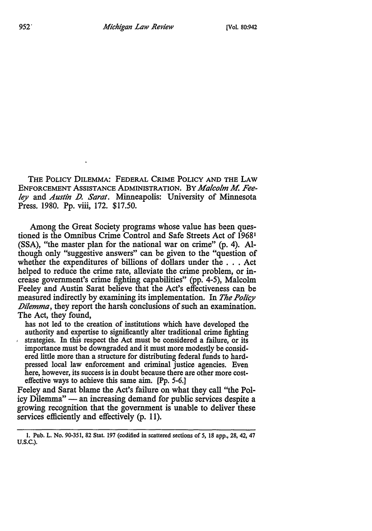THE POLICY DILEMMA: FEDERAL CRIME POLICY AND THE LAW ENFORCEMENT ASSISTANCE ADMINISTRATION. BY *Malcolm M. Fee*ley and *Austin D. Sarat.* Minneapolis: University of Minnesota Press. 1980. Pp. viii, 172. \$17.50.

Among the Great Society programs whose value has been questioned is the Omnibus Crime Control and Safe Streets Act of 19681 (SSA), "the master plan for the national war on crime" (p. 4). Although only "suggestive answers" can be given to the "question of whether the expenditures of billions of dollars under the . . . Act helped to reduce the crime rate, alleviate the crime problem, or increase government's crime fighting capabilities" (pp. 4-5), Malcolm Feeley and Austin Sarat believe that the Act's effectiveness can be measured indirectly by examining its implementation. In *The Policy .Dilemma,* they report the harsh conclusions of such an examination. The Act, they found,

has not led to the creation of institutions which have developed the authority and expertise to significantly alter traditional crime fighting strategies. In this respect the Act must be considered a failure, or its importance must be downgraded and it must more modestly be considered little more than a structure for distributing federal funds to hardpressed local law enforcement and criminal justice agencies. Even here, however, its success is in doubt because there are other more costeffective ways to achieve this same aim. [Pp. 5-6.]

Feeley and Sarat blame the Act's failure on what they call "the Policy Dilemma" — an increasing demand for public services despite a growing recognition that the government is unable to deliver these services efficiently and effectively (p. 11).

I. Pub. L. No. 90-351, 82 Stat. 197 (codified in scattered sections of 5, 18 app., 28, 42, 47 U.S.C.).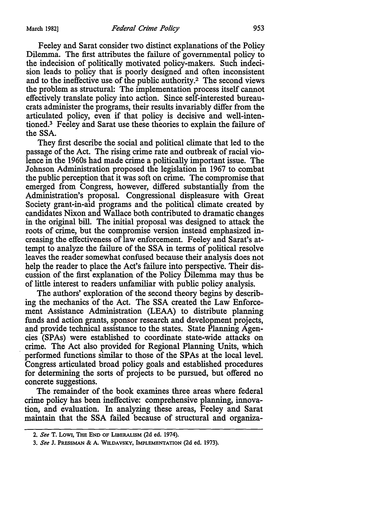Feeley and Sarat consider two distinct explanations of the Policy Dilemma. The first attributes the failure of governmental policy to the indecision of politically motivated policy-makers. Such indecision leads to policy that is poorly designed and often inconsistent and to the ineffective use of the public authority.2 The second views the problem as structural: The implementation process itself cannot effectively translate policy into action. Since self-interested bureaucrats administer the programs, their results invariably differ from the articulated policy, even if that policy is decisive and well-intentioned.3 Feeley and Sarat use these theories to explain the failure of the SSA.

They first describe the social and political climate that led to the passage of the Act. The rising crime rate and outbreak of racial violence in the 1960s had made crime a politically important issue. The Johnson Administration proposed the legislation in 1967 to combat the public perception that it was soft on crime. The compromise that emerged from Congress, however, differed substantially from the Administration's proposal. Congressional displeasure with Great Society grant-in-aid programs and the political climate created by candidates Nixon and Wallace both contributed to dramatic changes in the original bill. The initial proposal was designed to attack the roots of crime, but the compromise version instead emphasized increasing the effectiveness of law enforcement. Feeley and Sarat's attempt to analyze the failure of the SSA in terms of political resolve leaves the reader somewhat confused because their analysis does not help the reader to place the Act's failure into perspective. Their discussion of the first explanation of the Policy Dilemma may thus be of little interest to readers unfamiliar with public policy analysis.

The authors' exploration of the second theory begins by describing the mechanics of the Act. The SSA created the Law Enforcement Assistance Administration (LEAA) to distribute planning funds and action grants, sponsor research and development projects, and provide technical assistance to the states. State Planning Agencies (SPAs) were established to coordinate state-wide attacks on crime. The Act also provided for Regional Planning Units, which performed functions similar to those of the SPAs at the local level. Congress articulated broad policy goals and established procedures for determining the sorts of projects to be pursued, but offered no concrete suggestions.

The remainder of the book examines three areas where federal crime policy has been ineffective: comprehensive planning, innovation, and evaluation. In analyzing these areas, Feeley and Sarat maintain that the SSA failed because of structural and organiza-

<sup>2.</sup> *See* T. LOW!, THE END OF LIBERALISM (2d ed. 1974).

<sup>3.</sup> *See* J. PRESSMAN & A. WILDAVSKY, IMPLEMENTATION (2d ed. 1973).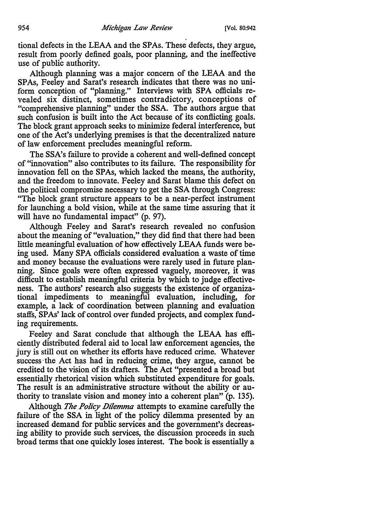tional defects in the LEAA and the SPAs. These defects, they argue, result from poorly defined goals, poor planning, and the ineffective use of public authority.

Although planning was a major concern of the LEAA and the SPAs, Feeley and Sarat's research indicates that there was no uniform conception of "planning." Interviews with SPA officials revealed six distinct, sometimes contradictory, conceptions of "comprehensive planning" under the SSA. The authors argue that such confusion is built into the Act because of its conflicting goals. The block grant approach seeks to minimize federal interference, but one of the Act's underlying premises is that the decentralized nature of law enforcement precludes meaningful reform.

The SSA's failure to provide a coherent and well-defined concept of "innovation" also contributes to its failure. The responsibility for innovation fell on the SPAs, which lacked the means, the authority, and the freedom to innovate. Feeley and Sarat blame this defect on the political compromise necessary to get the SSA through Congress: "The block grant structure appears to be a near-perfect instrument for launching a bold vision, while at the same time assuring that it will have no fundamental impact" (p. 97).

Although Feeley and Sarat's research revealed no confusion about the meaning of "evaluation," they did find that there had been little meaningful evaluation of how effectively LEAA funds were being used. Many SPA officials considered evaluation a waste of time and money because the evaluations were rarely used in future planning. Since goals were often expressed vaguely, moreover, it was difficult to establish meaningful criteria by which to judge effectiveness. The authors' research also suggests the existence of organizational impediments to meaningful evaluation, including, for example, a lack of coordination between planning and evaluation staffs, SPAs' lack of control over funded projects, and complex funding requirements.

Feeley and Sarat conclude that although the LEAA has efficiently distributed federal aid to local law enforcement agencies, the jury is still out on whether its efforts have reduced crime. Whatever success·the Act has had in reducing crime, they argue, cannot be credited to the vision of its drafters. The Act "presented a broad but essentially rhetorical vision which substituted expenditure for goals. The result is an administrative structure without the ability or authority to translate vision and money into a coherent plan" (p. 135).

Although *The Policy Dilemma* attempts to examine carefully the failure of the SSA in light of the policy dilemma presented by an increased demand for public services and the government's decreasing ability to provide such services, the discussion proceeds in such broad terms that one quickly loses interest. The book is essentially a